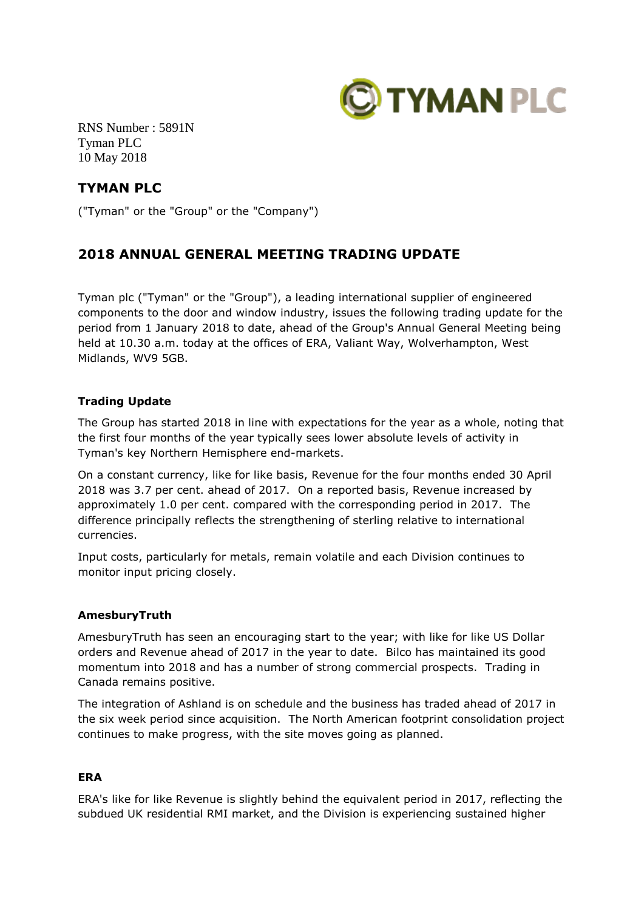

RNS Number : 5891N Tyman PLC 10 May 2018

# **TYMAN PLC**

("Tyman" or the "Group" or the "Company")

## **2018 ANNUAL GENERAL MEETING TRADING UPDATE**

Tyman plc ("Tyman" or the "Group"), a leading international supplier of engineered components to the door and window industry, issues the following trading update for the period from 1 January 2018 to date, ahead of the Group's Annual General Meeting being held at 10.30 a.m. today at the offices of ERA, Valiant Way, Wolverhampton, West Midlands, WV9 5GB.

## **Trading Update**

The Group has started 2018 in line with expectations for the year as a whole, noting that the first four months of the year typically sees lower absolute levels of activity in Tyman's key Northern Hemisphere end-markets.

On a constant currency, like for like basis, Revenue for the four months ended 30 April 2018 was 3.7 per cent. ahead of 2017. On a reported basis, Revenue increased by approximately 1.0 per cent. compared with the corresponding period in 2017. The difference principally reflects the strengthening of sterling relative to international currencies.

Input costs, particularly for metals, remain volatile and each Division continues to monitor input pricing closely.

### **AmesburyTruth**

AmesburyTruth has seen an encouraging start to the year; with like for like US Dollar orders and Revenue ahead of 2017 in the year to date. Bilco has maintained its good momentum into 2018 and has a number of strong commercial prospects. Trading in Canada remains positive.

The integration of Ashland is on schedule and the business has traded ahead of 2017 in the six week period since acquisition. The North American footprint consolidation project continues to make progress, with the site moves going as planned.

### **ERA**

ERA's like for like Revenue is slightly behind the equivalent period in 2017, reflecting the subdued UK residential RMI market, and the Division is experiencing sustained higher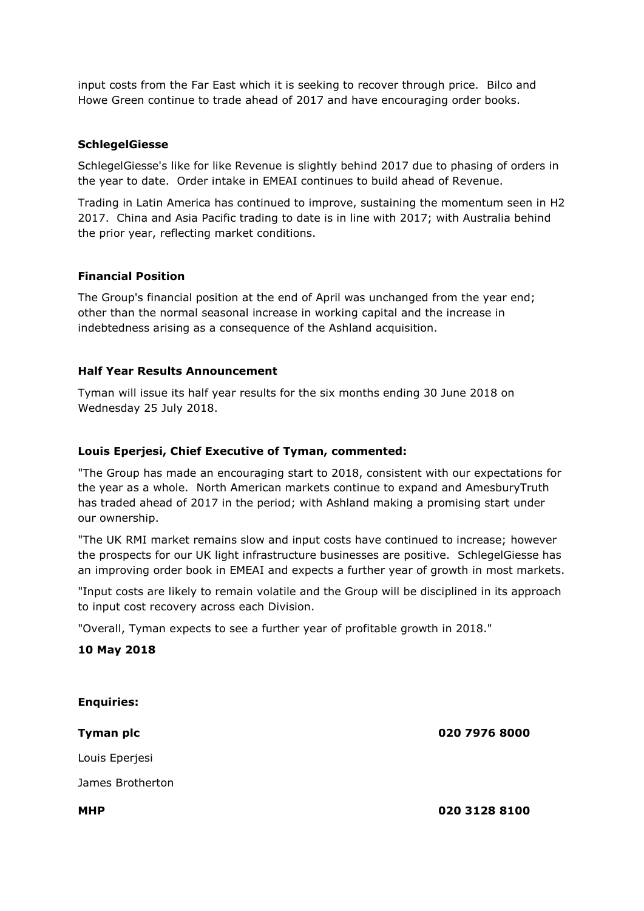input costs from the Far East which it is seeking to recover through price. Bilco and Howe Green continue to trade ahead of 2017 and have encouraging order books.

#### **SchlegelGiesse**

SchlegelGiesse's like for like Revenue is slightly behind 2017 due to phasing of orders in the year to date. Order intake in EMEAI continues to build ahead of Revenue.

Trading in Latin America has continued to improve, sustaining the momentum seen in H2 2017. China and Asia Pacific trading to date is in line with 2017; with Australia behind the prior year, reflecting market conditions.

#### **Financial Position**

The Group's financial position at the end of April was unchanged from the year end; other than the normal seasonal increase in working capital and the increase in indebtedness arising as a consequence of the Ashland acquisition.

#### **Half Year Results Announcement**

Tyman will issue its half year results for the six months ending 30 June 2018 on Wednesday 25 July 2018.

#### **Louis Eperjesi, Chief Executive of Tyman, commented:**

"The Group has made an encouraging start to 2018, consistent with our expectations for the year as a whole. North American markets continue to expand and AmesburyTruth has traded ahead of 2017 in the period; with Ashland making a promising start under our ownership.

"The UK RMI market remains slow and input costs have continued to increase; however the prospects for our UK light infrastructure businesses are positive. SchlegelGiesse has an improving order book in EMEAI and expects a further year of growth in most markets.

"Input costs are likely to remain volatile and the Group will be disciplined in its approach to input cost recovery across each Division.

"Overall, Tyman expects to see a further year of profitable growth in 2018."

**10 May 2018**

| <b>Enquiries:</b> |               |
|-------------------|---------------|
| Tyman plc         | 020 7976 8000 |
| Louis Eperjesi    |               |
| James Brotherton  |               |
| <b>MHP</b>        | 020 3128 8100 |